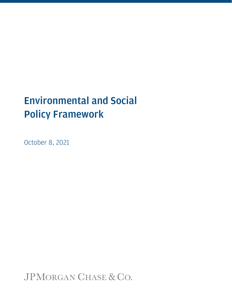# Environmental and Social Policy Framework

October 8, 2021

JPMORGAN CHASE & CO.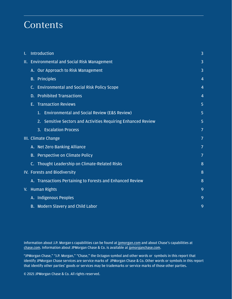## Contents

| I.  | Introduction                                                  | 3              |
|-----|---------------------------------------------------------------|----------------|
| II. | <b>Environmental and Social Risk Management</b>               | 3              |
|     | A. Our Approach to Risk Management                            | 3              |
|     | <b>B.</b> Principles                                          | 4              |
|     | C. Environmental and Social Risk Policy Scope                 | 4              |
|     | D. Prohibited Transactions                                    | 4              |
|     | <b>Transaction Reviews</b><br>Е.                              | 5              |
|     | <b>Environmental and Social Review (E&amp;S Review)</b><br>1. | 5              |
|     | 2. Sensitive Sectors and Activities Requiring Enhanced Review | 5              |
|     | 3. Escalation Process                                         | $\overline{7}$ |
|     | <b>III. Climate Change</b>                                    | 7              |
|     | A. Net Zero Banking Alliance                                  | 7              |
|     | B. Perspective on Climate Policy                              | 7              |
|     | C. Thought Leadership on Climate-Related Risks                | 8              |
|     | <b>IV. Forests and Biodiversity</b>                           | 8              |
|     | A. Transactions Pertaining to Forests and Enhanced Review     | 8              |
| V.  | <b>Human Rights</b>                                           | 9              |
|     | A. Indigenous Peoples                                         | 9              |
|     | B. Modern Slavery and Child Labor                             | 9              |

Information about J.P. Morgan s capabilities can be found at [jpmorgan.com](http://jpmorgan.com) and about Chase's capabilities at [chase.com](https://www.chase.com/). Information about JPMorgan Chase & Co. is available at [jpmorganchase.com.](https://www.jpmorganchase.com/)

""JPMorgan Chase," "J.P. Morgan," "Chase," the Octagon symbol and other words or symbols in this report that identify JPMorgan Chase services are service marks of JPMorgan Chase & Co. Other words or symbols in this report that identify other parties' goods or services may be trademarks or service marks of those other parties.

© 2021 JPMorgan Chase & Co. All rights reserved.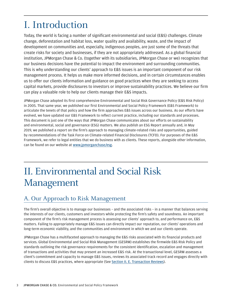# <span id="page-2-0"></span>I. Introduction

Today, the world is facing a number of signifcant environmental and social (E&S) challenges. Climate change, deforestation and habitat loss, water quality and availability, waste, and the impact of development on communities and, especially, indigenous peoples, are just some of the threats that create risks for society and businesses, if they are not appropriately addressed. As a global fnancial institution, JPMorgan Chase & Co. (together with its subsidiaries, JPMorgan Chase or we) recognizes that our business decisions have the potential to impact the environment and surrounding communities. This is why understanding our clients' approach to E&S issues is an important component of our risk management process. It helps us make more informed decisions, and in certain circumstances enables us to offer our clients information and guidance on good practices when they are seeking to access capital markets, provide disclosures to investors or improve sustainability practices. We believe our frm can play a valuable role to help our clients manage their E&S impacts.

JPMorgan Chase adopted its frst comprehensive Environmental and Social Risk Governance Policy (E&S Risk Policy) in 2005. That same year, we published our frst Environmental and Social Policy Framework (E&S Framework) to articulate the tenets of that policy and how the frm approaches E&S issues across our business. As our eforts have evolved, we have updated our E&S Framework to refect current practice, including our standards and processes. This document is just one of the ways that JPMorgan Chase communicates about our efforts on sustainability and environmental, social and governance (ESG) matters. We also publish an ESG Report annually and, in May 2019, we published a report on the frm's approach to managing climate-related risks and opportunities, guided by recommendations of the Task Force on Climate-related Financial Disclosures (TCFD). For purposes of the E&S Framework, we refer to legal entities that we do business with as clients. These reports, alongside other information, can be found on our website at [www.jpmorganchase/esg](https://www.jpmorganchase.com/corporate/About-JPMC/esg.htm).

## II. Environmental and Social Risk Management

## A. Our Approach to Risk Management

The firm's overall objective is to manage our businesses - and the associated risks - in a manner that balances serving the interests of our clients, customers and investors while protecting the frm's safety and soundness. An important component of the frm's risk management process is assessing our clients' approach to, and performance on, E&S matters. Failing to appropriately manage E&S issues can directly impact our reputation, our clients' operations and long-term economic viability, and the communities and environment in which we and our clients operate.

JPMorgan Chase has a multifaceted approach to managing the E&S risks associated with its fnancial products and services. Global Environmental and Social Risk Management (GESRM) establishes the frmwide E&S Risk Policy and standards outlining the risk governance requirements for the consistent identifcation, escalation and management of transactions and activities that may present an increased E&S risk. At the transactional level, GESRM assesses a client's commitment and capacity to manage E&S issues, reviews its associated track record and engages directly with clients to discuss E&S practices, where appropriate (See [Section II. E. Transaction Reviews\)](#page-4-0).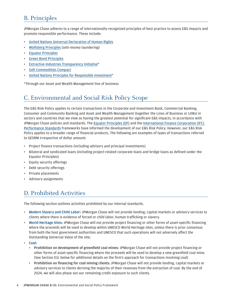## <span id="page-3-0"></span>B. Principles

JPMorgan Chase adheres to a range of internationally-recognized principles of best practice to assess E&S impacts and promote responsible performance. These include:

- [United Nations Universal Declaration of Human Rights](http://www.un.org/en/documents/udhr/)
- [Wolfsberg Principles](http://www.wolfsberg-principles.com/) (anti-money laundering)
- [Equator Principles](http://www.equator-principles.com/)
- [Green Bond Principles](http://www.icmagroup.org/Regulatory-Policy-and-Market-Practice/green-bonds/green-bond-principles/)
- [Extractive Industries Transparency Initiative](https://eiti.org/)\*
- [Soft Commodities Compact](http://www.cisl.cam.ac.uk/business-action/sustainable-finance/banking-environment-initiative/programme/soft-commodities)
- [United Nations Principles for Responsible Investment](http://www.unpri.org/)\*

\*Through our Asset and Wealth Management line of business

## C. Environmental and Social Risk Policy Scope

The E&S Risk Policy applies to certain transactions in the Corporate and Investment Bank, Commercial Banking, Consumer and Community Banking and Asset and Wealth Management (together the Lines of Business or LOBs) in sectors and countries that we view as having the greatest potential for signifcant E&S impacts, in accordance with JPMorgan Chase policies and standards. The [Equator Principles \(EP\)](http://www.equator-principles.com/) and the [International Finance Corporation \(IFC\)](http://www.ifc.org/wps/wcm/connect/Topics_Ext_Content/IFC_External_Corporate_Site/IFC%2BSustainability/Sustainability%2BFramework/Sustainability%2BFramework%2B-%2B2012/Performance%2BStandards%2Band%2BGuidance%2BNotes%2B2012/)  [Performance Standards](http://www.ifc.org/wps/wcm/connect/Topics_Ext_Content/IFC_External_Corporate_Site/IFC%2BSustainability/Sustainability%2BFramework/Sustainability%2BFramework%2B-%2B2012/Performance%2BStandards%2Band%2BGuidance%2BNotes%2B2012/) frameworks have informed the development of our E&S Risk Policy. However, our E&S Risk Policy applies to a broader range of fnancial products. The following are examples of types of transactions referred to GESRM irrespective of dollar amount:

- Project fnance transactions (including advisory and principal investments)
- Bilateral and syndicated loans (including project-related corporate loans and bridge loans as defned under the Equator Principles)
- Equity security offerings
- Debt security offerings
- Private placements
- Advisory assignments

## D. Prohibited Activities

The following section outlines activities prohibited by our internal standards.

- Modern Slavery and Child Labor: JPMorgan Chase will not provide lending, capital markets or advisory services to clients where there is evidence of forced or child labor, human trafficking or slavery.
- World Heritage Sites: JPMorgan Chase will not provide project fnancing or other forms of asset-specifc fnancing where the proceeds will be used to develop within UNESCO World Heritage sites, unless there is prior consensus from both the host government authorities and UNESCO that such operations will not adversely afect the Outstanding Universal Value of the site;
- Coal:
	- Prohibition on development of greenfield coal mines: JPMorgan Chase will not provide project financing or other forms of asset-specifc fnancing where the proceeds will be used to develop a new greenfeld coal mine. (See Section E2c below for additional details on the frm's approach for transactions involving coal)
	- Prohibition on fnancing for coal mining clients: JPMorgan Chase will not provide lending, capital markets or advisory services to clients deriving the majority of their revenues from the extraction of coal. By the end of 2024, we will also phase out our remaining credit exposure to such clients.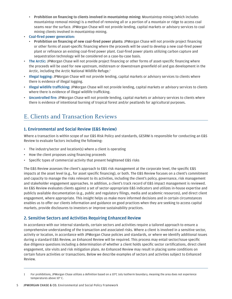- <span id="page-4-0"></span>• Prohibition on fnancing to clients involved in mountaintop mining: Mountaintop mining (which includes mountaintop removal mining) is a method of removing all or a portion of a mountain or ridge to access coal seams near the surface. JPMorgan Chase will not provide lending, capital markets or advisory services to coal mining clients involved in mountaintop mining.
- Coal-fired power generation:
	- Prohibition on fnancing of new coal-fred power plants: JPMorgan Chase will not provide project fnancing or other forms of asset-specifc fnancing where the proceeds will be used to develop a new coal-fred power plant or refnance an existing coal-fred power plant. Coal-fred power plants utilizing carbon capture and sequestration technology will be considered on a case-by-case basis.
- The Arctic: JPMorgan Chase will not provide project financing or other forms of asset-specific financing where the proceeds will be used for new upstream, midstream or downstream greenfeld oil and gas development in the Arctic, including the Arctic National Wildlife Refuge.1
- Illegal logging: JPMorgan Chase will not provide lending, capital markets or advisory services to clients where there is evidence of illegal logging.
- Illegal wildlife trafficking: JPMorgan Chase will not provide lending, capital markets or advisory services to clients where there is evidence of illegal wildlife trafficking.
- Uncontrolled fre: JPMorgan Chase will not provide lending, capital markets or advisory services to clients where there is evidence of intentional burning of tropical forest and/or peatlands for agricultural purposes.

## E. Clients and Transaction Reviews

#### 1. Environmental and Social Review (E&S Review)

Where a transaction is within scope of our E&S Risk Policy and standards, GESRM is responsible for conducting an E&S Review to evaluate factors including the following:

- The industry/sector and location(s) where a client is operating
- How the client proposes using fnancing proceeds
- Specific types of commercial activity that present heightened E&S risks

The E&S Review assesses the client's approach to E&S risk management at the corporate level, the specifc E&S impacts at the asset level (e.g., for asset specific financing), or both. The E&S Review focuses on a client's commitment and capacity to manage the risks relevant to its activities, including the client's policy, governance, risk management and stakeholder engagement approaches. In addition, a client's track record of E&S impact management is reviewed. An E&S Review evaluates clients against a set of sector-appropriate E&S indicators and utilizes in-house expertise and publicly available documentation (e.g., public and regulatory flings, media and academic resources), and direct client engagement, where appropriate. This insight helps us make more informed decisions and in certain circumstances enables us to ofer our clients information and guidance on good practices when they are seeking to access capital markets, provide disclosures to investors or improve sustainability practices.

#### 2. Sensitive Sectors and Activities Requiring Enhanced Review

In accordance with our internal standards, certain sectors and activities require a tailored approach to ensure a comprehensive understanding of the transaction and associated risks. Where a client is involved in a sensitive sector, activity or location, in accordance with JPMorgan Chase policies and standards, or where we identify additional issues during a standard E&S Review, an Enhanced Review will be required. This process may entail sector/issue specifc due diligence questions including a determination of whether a client holds specific sector certifications, direct client engagement, site visits and risk mitigation plans. An Enhanced Review may result in placing some conditions on certain future activities or transactions. Below we describe examples of sectors and activities subject to Enhanced Review.

<sup>1</sup> For prohibitions, JPMorgan Chase utilizes a definition based on a 10°C July Isotherm boundary, meaning the area does not experience temperatures above 10° C.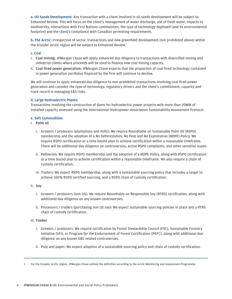a. Oil Sands Development: Any transaction with a client involved in oil sands development will be subject to Enhanced Review. This will focus on the client's management of water discharge, use of fresh water, impacts to biodiversity, interactions with First Nations communities, the type of technology deployed (and its environmental footprint) and the client's compliance with Canadian permitting requirements.

b. The Arctic: Irrespective of sector, transactions and new greenfeld development (not prohibited above) within the broader Arctic region will be subject to Enhanced Review.<sup>1</sup>

#### c. Coal

- i. Coal mining: JPMorgan Chase will apply enhanced due diligence to transactions with diversifed mining and industrial clients where proceeds will be used to fnance new coal mining capacity.
- ii. Coal-fred power generation: JPMorgan Chase expects that the proportion of coal-fred technology contained in power generation portfolios financed by the firm will continue to decline.

We will continue to apply enhanced due diligence to non-prohibited transactions involving coal-fred power generation and consider the type of technology, regulatory drivers and the client's commitment, capacity and track record in managing E&S risks.

#### d. Large Hydroelectric Plants:

Transactions involving the construction of dams for hydroelectric power projects with more than 20MW of installed capacity assessed using the International Hydropower Association Sustainability Assessment Protocol.

#### e. Soft Commodities

- i. Palm oil
	- i. Growers / producers (plantations and mills): We require Roundtable on Sustainable Palm Oil (RSPO) membership and the adoption of a No Deforestation, No Peat and No Exploitation (NDPE) Policy. We require RSPO certifcation or a time bound plan to achieve certifcation within a reasonable timeframe. There will be additional due diligence on controversies, active RSPO complaints, and other sensitive issues.
	- ii. Refneries: We require RSPO membership and the adoption of a NDPE Policy, along with RSPO certifcation or a time bound plan to achieve certifcation within a reasonable timeframe. We also require a chain of custody certification.
	- iii. Traders: We expect RSPO membership, along with a sustainable sourcing policy that includes a target to achieve 100% RSPO certifed sourcing, and a RSPO chain of custody certifcation.

#### ii. Soy

- i. Growers / producers (non US): We require Roundtable on Responsible Soy (RTRS) certifcation, along with additional due diligence on any known controversies.
- ii. Processors / traders (purchasing non US soy): We expect sustainable sourcing policies in place and a RTRS chain of custody certifcation.

#### iii. Timber

- i. Growers / producers: We require certifcation by Forest Stewardship Council (FSC), Sustainable Forestry Initiative (SFI), or Program for the Endorsement of Forest Certifcation (PEFC), along with additional due diligence on any known E&S related controversies.
- ii. Pulp and paper: We expect adoption of a sustainable sourcing policy and chain of custody certifcation.

<sup>1</sup> For the broader Arctic region, JPMorgan Chase utilizes the defnition according to the Arctic Monitoring and Assessment Programme.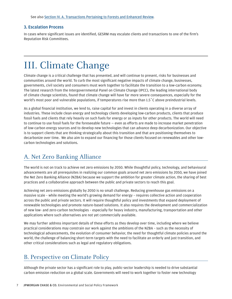#### <span id="page-6-0"></span>3. Escalation Process

In cases where signifcant issues are identifed, GESRM may escalate clients and transactions to one of the frm's Reputation Risk Committees.

## III. Climate Change

Climate change is a critical challenge that has presented, and will continue to present, risks for businesses and communities around the world. To curb the most signifcant negative impacts of climate change, businesses, governments, civil society and consumers must work together to facilitate the transition to a low-carbon economy. The latest research from the Intergovernmental Panel on Climate Change (IPCC), the leading international body of climate change scientists, found that climate change will have far more severe consequences, especially for the world's most poor and vulnerable populations, if temperatures rise more than 1.5˚C above preindustrial levels.

As a global fnancial institution, we lend to, raise capital for and invest in clients operating in a diverse array of industries. These include clean energy and technology clients developing low-carbon products, clients that produce fossil fuels and clients that rely heavily on such fuels for energy or as inputs for other products. The world will need to continue to use fossil fuels for the foreseeable future — even as eforts are made to increase market penetration of low-carbon energy sources and to develop new technologies that can advance deep decarbonization. Our objective is to support clients that are thinking strategically about this transition and that are positioning themselves to decarbonize over time. We also aim to expand our financing for those clients focused on renewables and other lowcarbon technologies and solutions.

### A. Net Zero Banking Alliance

The world is not on track to achieve net zero emissions by 2050. While thoughtful policy, technology, and behavioural advancements are all prerequisites in realizing our common goals around net zero emissions by 2050, we have joined the Net Zero Banking Alliance (NZBA) because we support the ambition for greater climate action, the sharing of best practices and a collaborative approach between the public and private sectors to reach this goal.

Achieving net zero emissions globally by 2050 is no small challenge. Reducing greenhouse gas emissions on a massive scale – while meeting the world's growing demand for energy – requires collective action and cooperation across the public and private sectors. It will require thoughtful policy and investments that expand deployment of renewable technologies and promote nature-based solutions. It also requires the development and commercialization of new low- and zero-carbon technologies – especially for heavy industry, manufacturing, transportation and other applications where such alternatives are not yet commercially available.

We may further address important details of these efforts as they develop over time, including where we believe practical considerations may constrain our work against the ambitions of the NZBA – such as the necessity of technological advancements, the evolution of consumer behavior, the need for thoughtful climate policies around the world, the challenge of balancing short-term targets with the need to facilitate an orderly and just transition, and other critical considerations such as legal and regulatory obligations.

### B. Perspective on Climate Policy

Although the private sector has a signifcant role to play, public-sector leadership is needed to drive substantial carbon emission reduction on a global scale. Governments will need to work together to foster new technology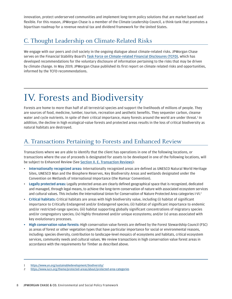<span id="page-7-0"></span>innovation, protect underserved communities and implement long-term policy solutions that are market based and fexible. For this reason, JPMorgan Chase is a member of the Climate Leadership Council, a think-tank that promotes a bipartisan roadmap for a revenue neutral tax and dividend framework for the United States.

## C. Thought Leadership on Climate-Related Risks

We engage with our peers and civil society in the ongoing dialogue about climate-related risks. JPMorgan Chase serves on the Financial Stability Board's [Task Force on Climate-related Financial Disclosures \(TCFD\),](https://www.fsb-tcfd.org/) which has developed recommendations for the voluntary disclosure of information pertaining to the risks that may be driven by climate change. In May 2019, JPMorgan Chase published its frst report on climate related risks and opportunities, informed by the TCFD recommendations.

## IV. Forests and Biodiversity

Forests are home to more than half of all terrestrial species and support the livelihoods of millions of people. They are sources of food, medicine, lumber, tourism, recreation and aesthetic benefts. They sequester carbon, cleanse water and cycle nutrients. In spite of their critical importance, many forests around the world are under threat.1 In addition, the decline in high ecological-value forests and protected areas results in the loss of critical biodiversity as natural habitats are destroyed.

### A. Transactions Pertaining to Forests and Enhanced Review

Transactions where we are able to identify that the client has operations in one of the following locations, or transactions where the use of proceeds is designated for assets to be developed in one of the following locations, will be subject to Enhanced Review (See [Section II. E. Transaction Reviews](#page--1-0)):

- Internationally recognized areas: Internationally recognized areas are defned as UNESCO Natural World Heritage Sites, UNESCO Man and the Biosphere Reserves, Key Biodiversity Areas and wetlands designated under the Convention on Wetlands of International Importance (the Ramsar Convention).
- Legally protected areas: Legally protected areas are clearly defned geographical space that is recognized, dedicated and managed, through legal means, to achieve the long-term conservation of nature with associated ecosystem services and cultural values. This includes the International Union for Conservation of Nature Protected Area categories I-VI.2
- Critical habitats: Critical habitats are areas with high biodiversity value, including (i) habitat of signifcant importance to Critically Endangered and/or Endangered species; (ii) habitat of signifcant importance to endemic and/or restricted-range species; (iii) habitat supporting globally signifcant concentrations of migratory species and/or congregatory species; (iv) highly threatened and/or unique ecosystems; and/or (v) areas associated with key evolutionary processes.
- High conservation value forests: High conservation value forests are defined by the Forest Stewardship Council (FSC) as areas of forest or other vegetation types that have particular importance for social or environmental reasons, including: species diversity, contribution to landscape-level mosaics of ecosystems and habitats, critical ecosystem services, community needs and cultural values. We review transactions in high conservation value forest areas in accordance with the requirements for Timber as described above.

<sup>1</sup> <https://www.un.org/sustainabledevelopment/biodiversity/>

<sup>2</sup> <https://www.iucn.org/theme/protected-areas/about/protected-area-categories>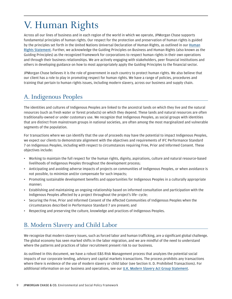# <span id="page-8-0"></span>V. Human Rights

Across all our lines of business and in each region of the world in which we operate, JPMorgan Chase supports fundamental principles of human rights. Our respect for the protection and preservation of human rights is guided by the principles set forth in the United Nations Universal Declaration of Human Rights, as outlined in our [Human](https://www.jpmorganchase.com/about/our-business/human-rights)  [Rights Statement](https://www.jpmorganchase.com/about/our-business/human-rights). Further, we acknowledge the Guiding Principles on Business and Human Rights (also known as the Guiding Principles) as the recognized framework for corporations to respect human rights in their own operations and through their business relationships. We are actively engaging with stakeholders, peer fnancial institutions and others in developing guidance on how to most appropriately apply the Guiding Principles to the fnancial sector.

JPMorgan Chase believes it is the role of government in each country to protect human rights. We also believe that our client has a role to play in promoting respect for human rights. We have a range of policies, procedures and training that pertain to human rights issues, including modern slavery, across our business and supply chain.

## A. Indigenous Peoples

The identities and cultures of Indigenous Peoples are linked to the ancestral lands on which they live and the natural resources (such as fresh water or forest products) on which they depend. These lands and natural resources are often traditionally-owned or under customary use. We recognize that Indigenous Peoples, as social groups with identities that are distinct from mainstream groups in national societies, are often among the most marginalized and vulnerable segments of the population.

For transactions where we can identify that the use of proceeds may have the potential to impact Indigenous Peoples, we expect our clients to demonstrate alignment with the objectives and requirements of IFC Performance Standard 7 on Indigenous Peoples, including with respect to circumstances requiring Free, Prior and Informed Consent. These objectives include:

- Working to maintain the full respect for the human rights, dignity, aspirations, culture and natural resource-based livelihoods of Indigenous Peoples throughout the development process;
- Anticipating and avoiding adverse impacts of projects on communities of Indigenous Peoples, or when avoidance is not possible, to minimize and/or compensate for such impacts;
- Promoting sustainable development benefts and opportunities for Indigenous Peoples in a culturally appropriate manner;
- Establishing and maintaining an ongoing relationship based on informed consultation and participation with the Indigenous Peoples afected by a project throughout the project's life- cycle;
- Securing the Free, Prior and Informed Consent of the Afected Communities of Indigenous Peoples when the circumstances described in Performance Standard 7 are present; and
- Respecting and preserving the culture, knowledge and practices of Indigenous Peoples.

## B. Modern Slavery and Child Labor

We recognize that modern slavery issues, such as forced labor and human trafficking, are a significant global challenge. The global economy has seen marked shifts in the labor migration, and we are mindful of the need to understand where the patterns and practices of labor recruitment present risk to our business.

As outlined in this document, we have a robust E&S Risk Management process that analyzes the potential social impacts of our corporate lending, advisory and capital markets transactions. The process prohibits any transactions where there is evidence of the use of modern slavery or child labor (see Section II. D. Prohibited Transactions). For additional information on our business and operations, see our [U.K. Modern Slavery Act Group Statement](https://www.jpmorganchase.com/content/dam/jpmc/jpmorgan-chase-and-co/documents/JPMC-Group-Statement-on-Modern-Slavery-FY2019_Final-w-signature.pdf).